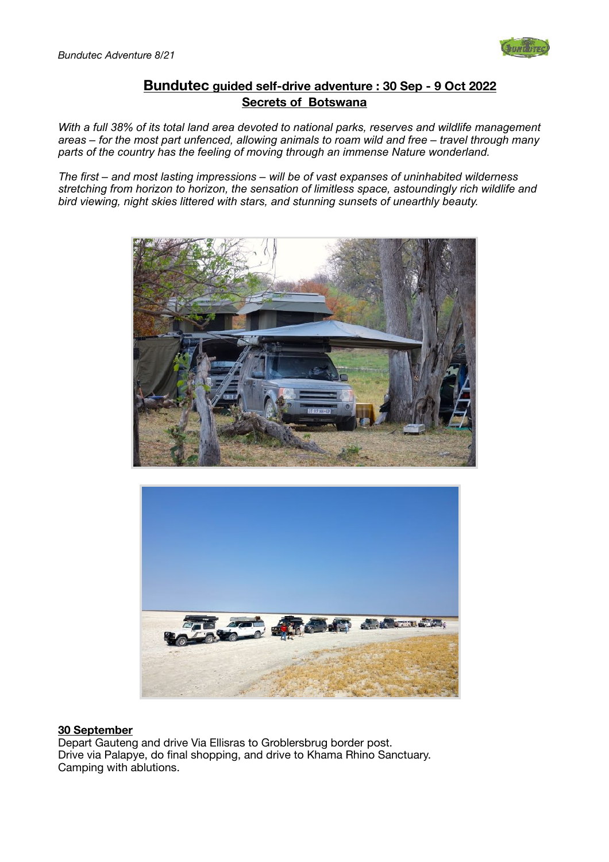

# **Bundutec guided self-drive adventure : 30 Sep - 9 Oct 2022 Secrets of Botswana**

*With a full 38% of its total land area devoted to national parks, reserves and wildlife management areas – for the most part unfenced, allowing animals to roam wild and free – travel through many parts of the country has the feeling of moving through an immense Nature wonderland.* 

*The first – and most lasting impressions – will be of vast expanses of uninhabited wilderness stretching from horizon to horizon, the sensation of limitless space, astoundingly rich wildlife and bird viewing, night skies littered with stars, and stunning sunsets of unearthly beauty.* 





#### **30 September**

Depart Gauteng and drive Via Ellisras to Groblersbrug border post. Drive via Palapye, do final shopping, and drive to Khama Rhino Sanctuary. Camping with ablutions.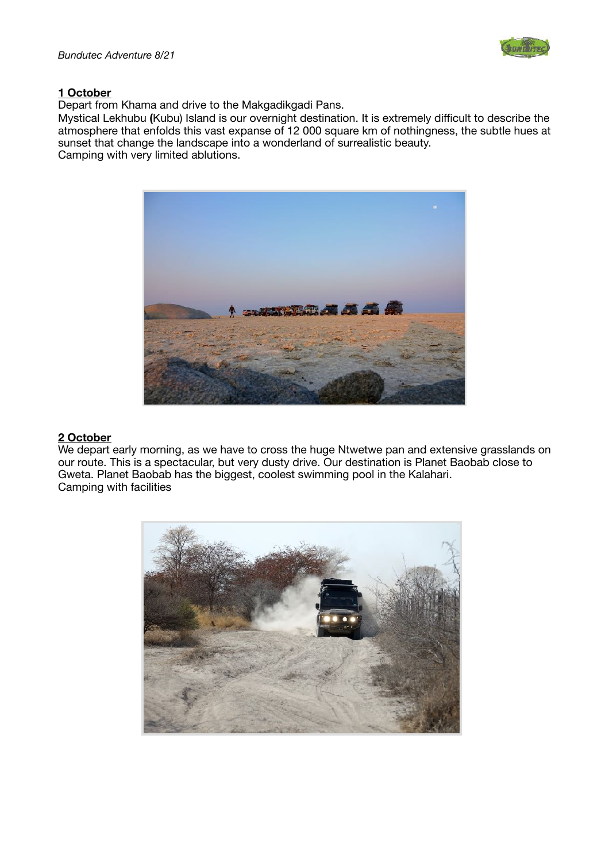

### **1 October**

Depart from Khama and drive to the Makgadikgadi Pans.

Mystical Lekhubu **(**Kubu) Island is our overnight destination. It is extremely difficult to describe the atmosphere that enfolds this vast expanse of 12 000 square km of nothingness, the subtle hues at sunset that change the landscape into a wonderland of surrealistic beauty. Camping with very limited ablutions.



#### **2 October**

We depart early morning, as we have to cross the huge Ntwetwe pan and extensive grasslands on our route. This is a spectacular, but very dusty drive. Our destination is Planet Baobab close to Gweta. Planet Baobab has the biggest, coolest swimming pool in the Kalahari. Camping with facilities

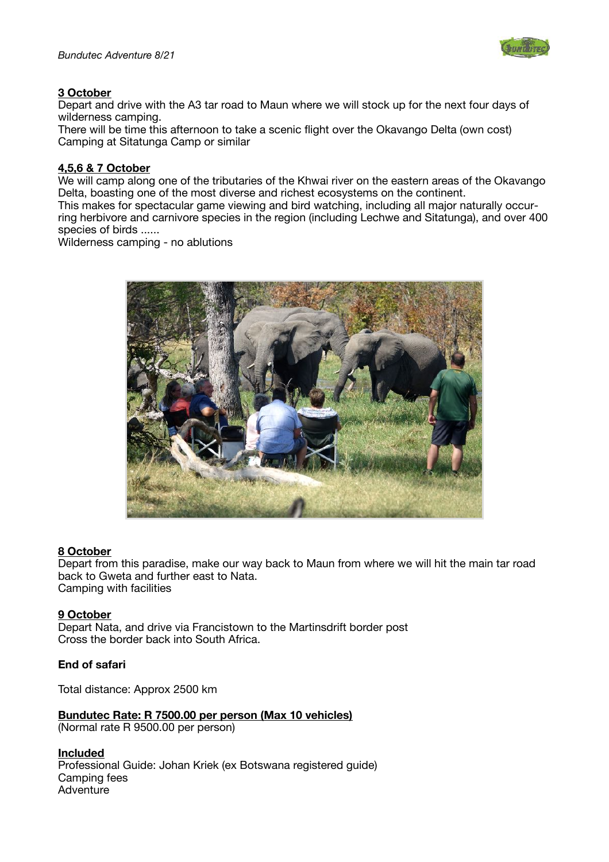

## **3 October**

Depart and drive with the A3 tar road to Maun where we will stock up for the next four days of wilderness camping.

There will be time this afternoon to take a scenic flight over the Okavango Delta (own cost) Camping at Sitatunga Camp or similar

## **4,5,6 & 7 October**

We will camp along one of the tributaries of the Khwai river on the eastern areas of the Okavango Delta, boasting one of the most diverse and richest ecosystems on the continent. This makes for spectacular game viewing and bird watching, including all major naturally occur-

ring herbivore and carnivore species in the region (including Lechwe and Sitatunga), and over 400 species of birds ......

Wilderness camping - no ablutions



#### **8 October**

Depart from this paradise, make our way back to Maun from where we will hit the main tar road back to Gweta and further east to Nata. Camping with facilities

#### **9 October**

Depart Nata, and drive via Francistown to the Martinsdrift border post Cross the border back into South Africa.

## **End of safari**

Total distance: Approx 2500 km

**Bundutec Rate: R 7500.00 per person (Max 10 vehicles)** 

(Normal rate R 9500.00 per person)

**Included**  Professional Guide: Johan Kriek (ex Botswana registered guide) Camping fees Adventure